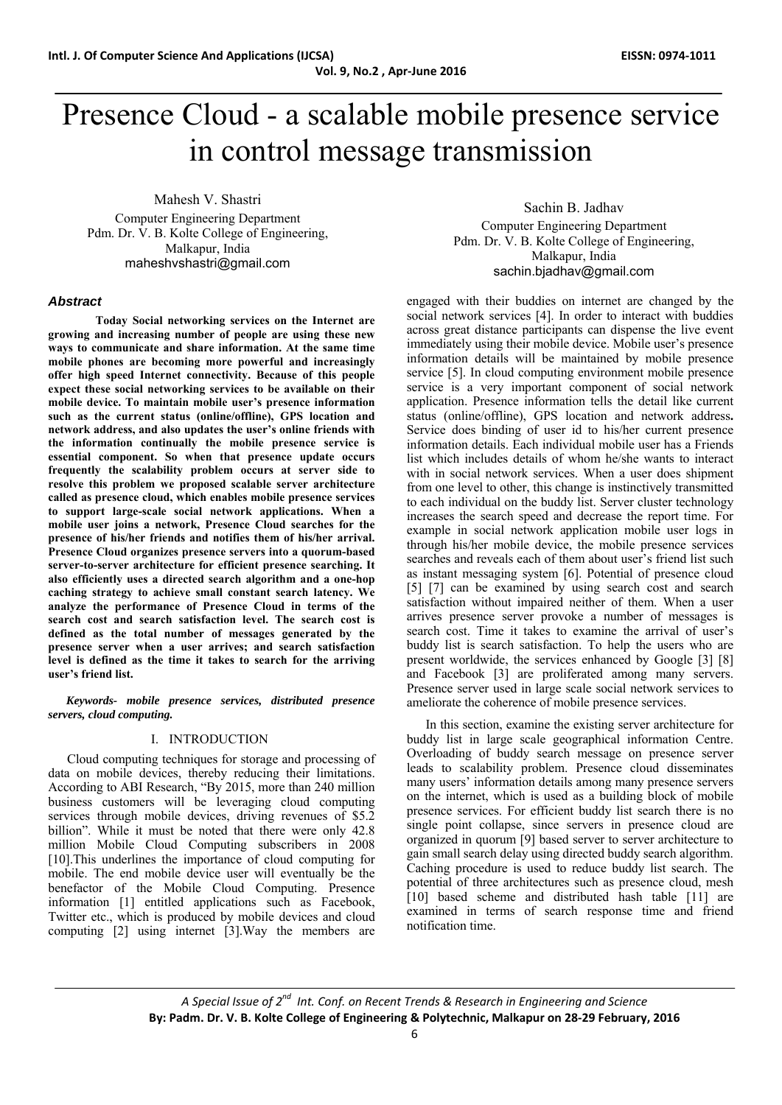# Presence Cloud - a scalable mobile presence service in control message transmission

Mahesh V. Shastri Computer Engineering Department Pdm. Dr. V. B. Kolte College of Engineering, Malkapur, India maheshvshastri@gmail.com

## *Abstract*

 **Today Social networking services on the Internet are growing and increasing number of people are using these new ways to communicate and share information. At the same time mobile phones are becoming more powerful and increasingly offer high speed Internet connectivity. Because of this people expect these social networking services to be available on their mobile device. To maintain mobile user's presence information such as the current status (online/offline), GPS location and network address, and also updates the user's online friends with the information continually the mobile presence service is essential component. So when that presence update occurs frequently the scalability problem occurs at server side to resolve this problem we proposed scalable server architecture called as presence cloud, which enables mobile presence services to support large-scale social network applications. When a mobile user joins a network, Presence Cloud searches for the presence of his/her friends and notifies them of his/her arrival. Presence Cloud organizes presence servers into a quorum-based server-to-server architecture for efficient presence searching. It also efficiently uses a directed search algorithm and a one-hop caching strategy to achieve small constant search latency. We analyze the performance of Presence Cloud in terms of the search cost and search satisfaction level. The search cost is defined as the total number of messages generated by the presence server when a user arrives; and search satisfaction level is defined as the time it takes to search for the arriving user's friend list.** 

*Keywords- mobile presence services, distributed presence servers, cloud computing.* 

## I. INTRODUCTION

Cloud computing techniques for storage and processing of data on mobile devices, thereby reducing their limitations. According to ABI Research, "By 2015, more than 240 million business customers will be leveraging cloud computing services through mobile devices, driving revenues of \$5.2 billion". While it must be noted that there were only 42.8 million Mobile Cloud Computing subscribers in 2008 [10].This underlines the importance of cloud computing for mobile. The end mobile device user will eventually be the benefactor of the Mobile Cloud Computing. Presence information [1] entitled applications such as Facebook, Twitter etc., which is produced by mobile devices and cloud computing [2] using internet [3].Way the members are

Sachin B. Jadhav Computer Engineering Department Pdm. Dr. V. B. Kolte College of Engineering, Malkapur, India sachin.bjadhav@gmail.com

engaged with their buddies on internet are changed by the social network services [4]. In order to interact with buddies across great distance participants can dispense the live event immediately using their mobile device. Mobile user's presence information details will be maintained by mobile presence service [5]. In cloud computing environment mobile presence service is a very important component of social network application. Presence information tells the detail like current status (online/offline), GPS location and network address**.**  Service does binding of user id to his/her current presence information details. Each individual mobile user has a Friends list which includes details of whom he/she wants to interact with in social network services. When a user does shipment from one level to other, this change is instinctively transmitted to each individual on the buddy list. Server cluster technology increases the search speed and decrease the report time. For example in social network application mobile user logs in through his/her mobile device, the mobile presence services searches and reveals each of them about user's friend list such as instant messaging system [6]. Potential of presence cloud [5] [7] can be examined by using search cost and search satisfaction without impaired neither of them. When a user arrives presence server provoke a number of messages is search cost. Time it takes to examine the arrival of user's buddy list is search satisfaction. To help the users who are present worldwide, the services enhanced by Google [3] [8] and Facebook [3] are proliferated among many servers. Presence server used in large scale social network services to ameliorate the coherence of mobile presence services.

In this section, examine the existing server architecture for buddy list in large scale geographical information Centre. Overloading of buddy search message on presence server leads to scalability problem. Presence cloud disseminates many users' information details among many presence servers on the internet, which is used as a building block of mobile presence services. For efficient buddy list search there is no single point collapse, since servers in presence cloud are organized in quorum [9] based server to server architecture to gain small search delay using directed buddy search algorithm. Caching procedure is used to reduce buddy list search. The potential of three architectures such as presence cloud, mesh [10] based scheme and distributed hash table [11] are examined in terms of search response time and friend notification time.

*A Special Issue of 2nd Int. Conf. on Recent Trends & Research in Engineering and Science* **By: Padm. Dr. V. B. Kolte College of Engineering & Polytechnic, Malkapur on 28‐29 February, 2016**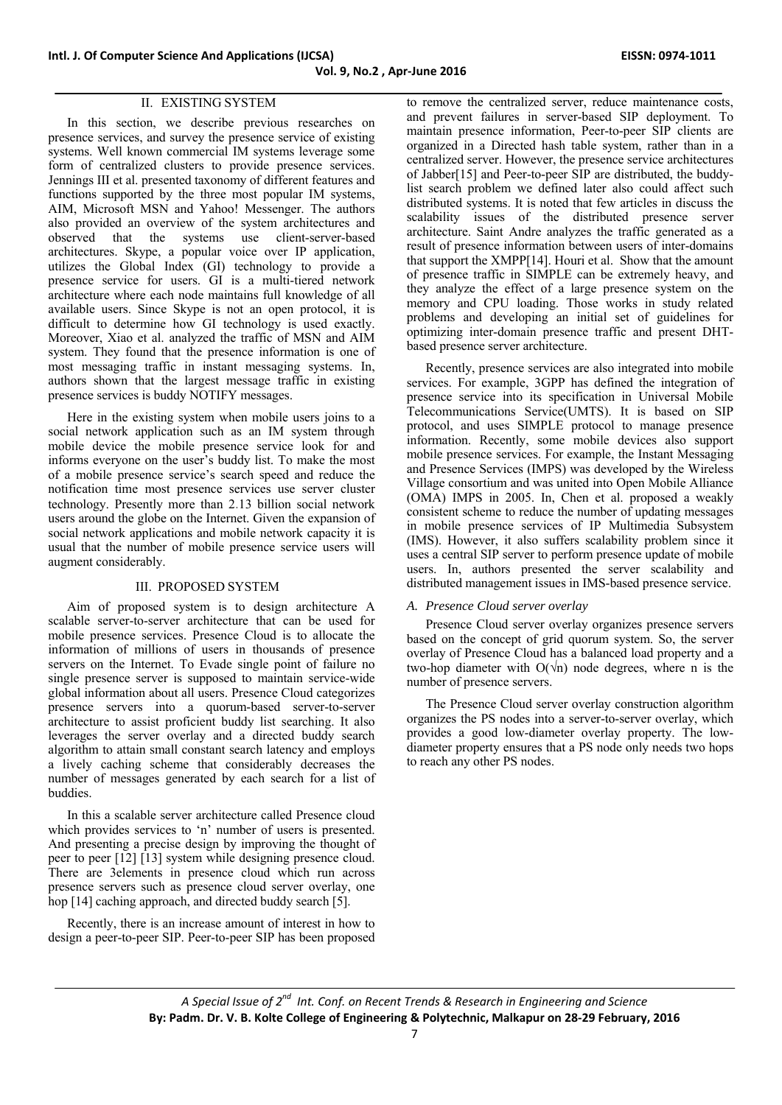# II. EXISTING SYSTEM

In this section, we describe previous researches on presence services, and survey the presence service of existing systems. Well known commercial IM systems leverage some form of centralized clusters to provide presence services. Jennings III et al. presented taxonomy of different features and functions supported by the three most popular IM systems, AIM, Microsoft MSN and Yahoo! Messenger. The authors also provided an overview of the system architectures and observed that the systems use client-server-based architectures. Skype, a popular voice over IP application, utilizes the Global Index (GI) technology to provide a presence service for users. GI is a multi-tiered network architecture where each node maintains full knowledge of all available users. Since Skype is not an open protocol, it is difficult to determine how GI technology is used exactly. Moreover, Xiao et al. analyzed the traffic of MSN and AIM system. They found that the presence information is one of most messaging traffic in instant messaging systems. In, authors shown that the largest message traffic in existing presence services is buddy NOTIFY messages.

Here in the existing system when mobile users joins to a social network application such as an IM system through mobile device the mobile presence service look for and informs everyone on the user's buddy list. To make the most of a mobile presence service's search speed and reduce the notification time most presence services use server cluster technology. Presently more than 2.13 billion social network users around the globe on the Internet. Given the expansion of social network applications and mobile network capacity it is usual that the number of mobile presence service users will augment considerably.

## III. PROPOSED SYSTEM

Aim of proposed system is to design architecture A scalable server-to-server architecture that can be used for mobile presence services. Presence Cloud is to allocate the information of millions of users in thousands of presence servers on the Internet. To Evade single point of failure no single presence server is supposed to maintain service-wide global information about all users. Presence Cloud categorizes presence servers into a quorum-based server-to-server architecture to assist proficient buddy list searching. It also leverages the server overlay and a directed buddy search algorithm to attain small constant search latency and employs a lively caching scheme that considerably decreases the number of messages generated by each search for a list of buddies.

In this a scalable server architecture called Presence cloud which provides services to 'n' number of users is presented. And presenting a precise design by improving the thought of peer to peer [12] [13] system while designing presence cloud. There are 3elements in presence cloud which run across presence servers such as presence cloud server overlay, one hop [14] caching approach, and directed buddy search [5].

Recently, there is an increase amount of interest in how to design a peer-to-peer SIP. Peer-to-peer SIP has been proposed

to remove the centralized server, reduce maintenance costs, and prevent failures in server-based SIP deployment. To maintain presence information, Peer-to-peer SIP clients are organized in a Directed hash table system, rather than in a centralized server. However, the presence service architectures of Jabber[15] and Peer-to-peer SIP are distributed, the buddylist search problem we defined later also could affect such distributed systems. It is noted that few articles in discuss the scalability issues of the distributed presence server architecture. Saint Andre analyzes the traffic generated as a result of presence information between users of inter-domains that support the XMPP[14]. Houri et al. Show that the amount of presence traffic in SIMPLE can be extremely heavy, and they analyze the effect of a large presence system on the memory and CPU loading. Those works in study related problems and developing an initial set of guidelines for optimizing inter-domain presence traffic and present DHTbased presence server architecture.

Recently, presence services are also integrated into mobile services. For example, 3GPP has defined the integration of presence service into its specification in Universal Mobile Telecommunications Service(UMTS). It is based on SIP protocol, and uses SIMPLE protocol to manage presence information. Recently, some mobile devices also support mobile presence services. For example, the Instant Messaging and Presence Services (IMPS) was developed by the Wireless Village consortium and was united into Open Mobile Alliance (OMA) IMPS in 2005. In, Chen et al. proposed a weakly consistent scheme to reduce the number of updating messages in mobile presence services of IP Multimedia Subsystem (IMS). However, it also suffers scalability problem since it uses a central SIP server to perform presence update of mobile users. In, authors presented the server scalability and distributed management issues in IMS-based presence service.

## *A. Presence Cloud server overlay*

Presence Cloud server overlay organizes presence servers based on the concept of grid quorum system. So, the server overlay of Presence Cloud has a balanced load property and a two-hop diameter with  $O(\sqrt{n})$  node degrees, where n is the number of presence servers.

The Presence Cloud server overlay construction algorithm organizes the PS nodes into a server-to-server overlay, which provides a good low-diameter overlay property. The lowdiameter property ensures that a PS node only needs two hops to reach any other PS nodes.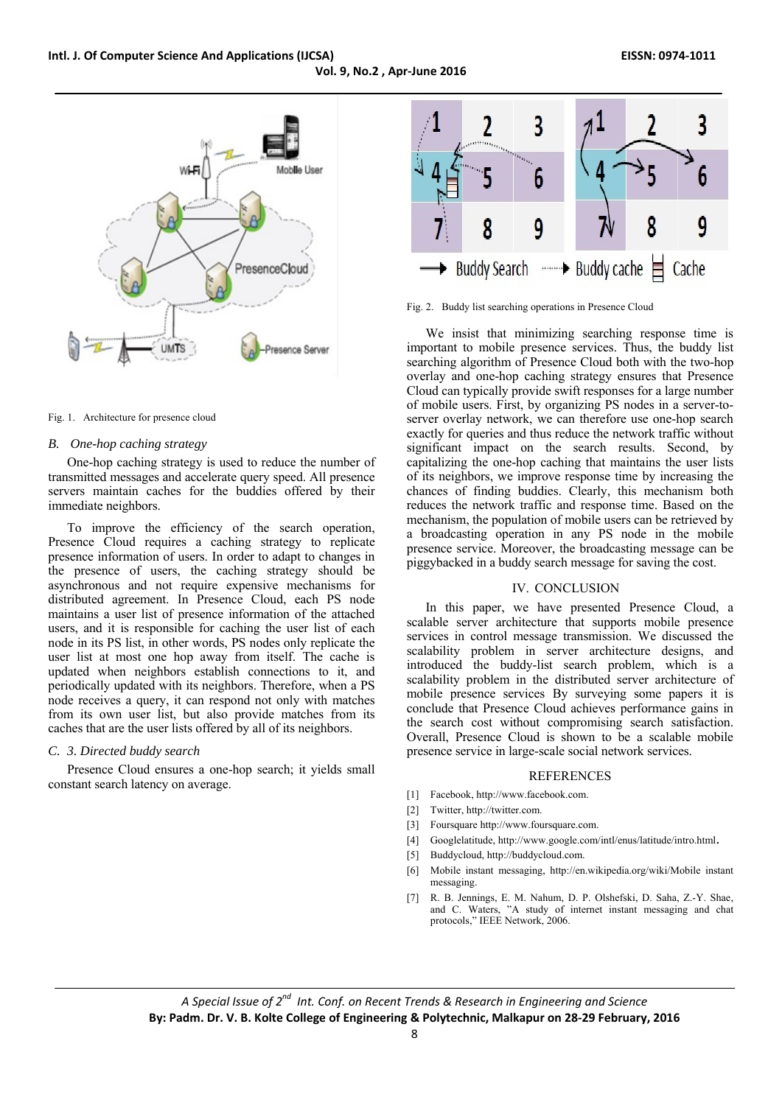**Vol. 9, No.2 , Apr‐June 2016**



#### Fig. 1. Architecture for presence cloud

#### *B. One-hop caching strategy*

One-hop caching strategy is used to reduce the number of transmitted messages and accelerate query speed. All presence servers maintain caches for the buddies offered by their immediate neighbors.

To improve the efficiency of the search operation, Presence Cloud requires a caching strategy to replicate presence information of users. In order to adapt to changes in the presence of users, the caching strategy should be asynchronous and not require expensive mechanisms for distributed agreement. In Presence Cloud, each PS node maintains a user list of presence information of the attached users, and it is responsible for caching the user list of each node in its PS list, in other words, PS nodes only replicate the user list at most one hop away from itself. The cache is updated when neighbors establish connections to it, and periodically updated with its neighbors. Therefore, when a PS node receives a query, it can respond not only with matches from its own user list, but also provide matches from its caches that are the user lists offered by all of its neighbors.

## *C. 3. Directed buddy search*

Presence Cloud ensures a one-hop search; it yields small constant search latency on average.



Fig. 2. Buddy list searching operations in Presence Cloud

We insist that minimizing searching response time is important to mobile presence services. Thus, the buddy list searching algorithm of Presence Cloud both with the two-hop overlay and one-hop caching strategy ensures that Presence Cloud can typically provide swift responses for a large number of mobile users. First, by organizing PS nodes in a server-toserver overlay network, we can therefore use one-hop search exactly for queries and thus reduce the network traffic without significant impact on the search results. Second, by capitalizing the one-hop caching that maintains the user lists of its neighbors, we improve response time by increasing the chances of finding buddies. Clearly, this mechanism both reduces the network traffic and response time. Based on the mechanism, the population of mobile users can be retrieved by a broadcasting operation in any PS node in the mobile presence service. Moreover, the broadcasting message can be piggybacked in a buddy search message for saving the cost.

### IV. CONCLUSION

In this paper, we have presented Presence Cloud, a scalable server architecture that supports mobile presence services in control message transmission. We discussed the scalability problem in server architecture designs, and introduced the buddy-list search problem, which is a scalability problem in the distributed server architecture of mobile presence services By surveying some papers it is conclude that Presence Cloud achieves performance gains in the search cost without compromising search satisfaction. Overall, Presence Cloud is shown to be a scalable mobile presence service in large-scale social network services.

#### REFERENCES

- [1] Facebook, http://www.facebook.com.
- [2] Twitter, http://twitter.com.
- [3] Foursquare http://www.foursquare.com.
- [4] Googlelatitude, http://www.google.com/intl/enus/latitude/intro.html.
- [5] Buddycloud, http://buddycloud.com.
- [6] Mobile instant messaging, http://en.wikipedia.org/wiki/Mobile instant messaging.
- [7] R. B. Jennings, E. M. Nahum, D. P. Olshefski, D. Saha, Z.-Y. Shae, and C. Waters, "A study of internet instant messaging and chat protocols," IEEE Network, 2006.

*A Special Issue of 2nd Int. Conf. on Recent Trends & Research in Engineering and Science* **By: Padm. Dr. V. B. Kolte College of Engineering & Polytechnic, Malkapur on 28‐29 February, 2016**